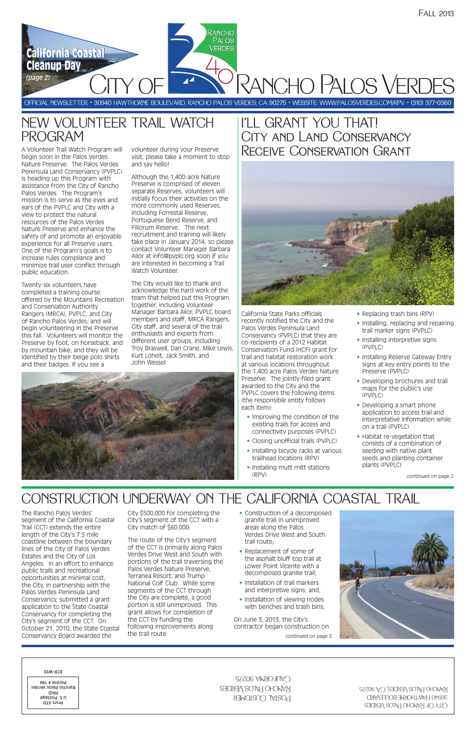OFFICIAL NEWSLETTER • 30940 HAWTHORNE BOULEVARD, RANCHO PALOS VERDES, CA 90275 • WEBSITE: WWW.PALOSVERDES.COM/RPV • (310) 377-0360

RANCHO **PALOS VERDES** 

RANCHO PALOS VERDES

### NEW VOLUNTEER TRAIL WATCH PROGRAM

# CONSTRUCTION UNDERWAY ON THE CALIFORNIA COASTAL TRAIL

### I'LL GRANT YOU THAT! CITY AND LAND CONSERVANCY Receive Conservation Grant



**California Coastal California Coastal**

**Cleanup Day Cleanup Day**

*(page 2)*

The Rancho Palos Verdes' segment of the California Coastal Trail (CCT) extends the entire length of the City's 7.5 mile coastline between the boundary lines of the City of Palos Verdes Estates and the City of Los Angeles. In an effort to enhance public trails and recreational opportunities at minimal cost, the City, in partnership with the Palos Verdes Peninsula Land Conservancy, submitted a grant application to the State Coastal Conservancy for completing the City's segment of the CCT. On October 21, 2010, the State Coastal Conservancy Board awarded the

City \$500,000 for completing the City's segment of the CCT with a City match of \$60,000.

The route of the City's segment of the CCT is primarily along Palos Verdes Drive West and South with portions of the trail traversing the Palos Verdes Nature Preserve, Terranea Resort, and Trump National Golf Club. While some segments of the CCT through the City are complete, a good portion is still unimproved. This grant allows for completion of the CCT by funding the following improvements along the trail route:

- Replacing trash bins (RPV)
- Installing, replacing and repairing trail marker signs (PVPLC)
- Installing interpretive signs (PVPLC)
- Installing Reserve Gateway Entry signs at key entry points to the Preserve (PVPLC)
- Developing brochures and trail maps for the public's use (PVPLC)
- Developing a smart phone application to access trail and interpretative information while on a trail (PVPLC)
- Habitat re-vegetation that consists of a combination of seeding with native plant seeds and planting container plants (PVPLC)

• Construction of a decomposed granite trail in unimproved areas along the Palos Verdes Drive West and South



trail route;

- Replacement of some of the asphalt bluff top trail at Lower Point Vicente with a decomposed granite trail;
- Installation of trail markers and interpretive signs; and,
- Installation of viewing nodes with benches and trash bins;

California State Parks officials recently notified the City and the Palos Verdes Peninsula Land Conservancy (PVPLC) that they are co-recipients of a 2012 Habitat Conservation Fund (HCF) grant for trail and habitat restoration work at various locations throughout the 1,400 acre Palos Verdes Nature Preserve. The jointly-filed grant awarded to the City and the PVPLC covers the following items (the responsible entity follows each item):

- Improving the condition of the existing trails for access and connectivity purposes (PVPLC)
- Closing unofficial trails (PVPLC)
- Installing bicycle racks at various trailhead locations (RPV)
- Installing mutt mitt stations (RPV)

continued on page 2

A Volunteer Trail Watch Program will begin soon in the Palos Verdes Nature Preserve. The Palos Verdes Peninsula Land Conservancy (PVPLC) is heading up this Program with assistance from the City of Rancho Palos Verdes. The Program's mission is to serve as the eyes and ears of the PVPLC and City with a view to protect the natural resources of the Palos Verdes Nature Preserve and enhance the safety of and promote an enjoyable experience for all Preserve users. One of the Program's goals is to increase rules compliance and minimize trail user conflict through public education.

> On June 3, 2013, the City's contractor began construction on continued on page 3

Twenty-six volunteers have completed a training course offered by the Mountains Recreation and Conservation Authority Rangers (MRCA), PVPLC, and City of Rancho Palos Verdes; and will begin volunteering in the Preserve this fall. Volunteers will monitor the Preserve by foot, on horseback, and by mountain bike; and they will be identified by their beige polo shirts and their badges. If you see a

volunteer during your Preserve visit, please take a moment to stop and say hello!

Although the 1,400-acre Nature Preserve is comprised of eleven separate Reserves, volunteers will initially focus their activities on the more commonly used Reserves, including Forrestal Reserve, Portuguese Bend Reserve, and Filiorum Reserve. The next recruitment and training will likely take place in January 2014, so please contact Volunteer Manager Barbara Ailor at info@pvplc.org soon if you are interested in becoming a Trail Watch Volunteer.

The City would like to thank and acknowledge the hard work of the team that helped put this Program together, including Volunteer Manager Barbara Ailor, PVPLC board members and staff, MRCA Rangers, City staff, and several of the trail enthusiasts and experts from different user groups, including Troy Braswell, Dan Crane, Mike Lewis, Kurt Loheit, Jack Smith, and John Wessel.

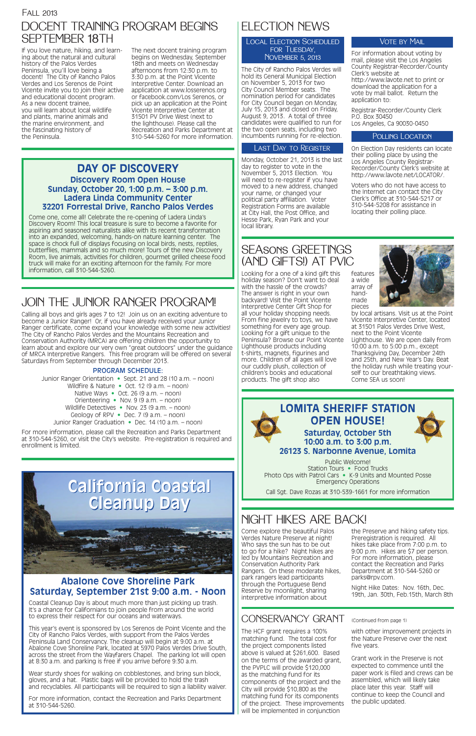#### Fall 2013

### ELECTION NEWS

The City of Rancho Palos Verdes will hold its General Municipal Election on November 5, 2013 for two City Council Member seats. The nomination period for candidates for City Council began on Monday, July 15, 2013 and closed on Friday, August 9, 2013. A total of three candidates were qualified to run for the two open seats, including two incumbents running for re-election.

Monday, October 21, 2013 is the last day to register to vote in the November 5, 2013 Election. You will need to re-register if you have moved to a new address, changed your name, or changed your political party affiliation. Voter Registration Forms are available at City Hall, the Post Office, and Hesse Park, Ryan Park and your local library.

For information about voting by mail, please visit the Los Angeles County Registrar-Recorder/County Clerk's website at http://www.lavote.net to print or download the application for a vote by mail ballot. Return the application to:

Registrar-Recorder/County Clerk P.O. Box 30450 Los Angeles, Ca 90030-0450

#### POLLING LOCATION

On Election Day residents can locate their polling place by using the Los Angeles County Registrar-Recorder/County Clerk's website at http://www.lavote.net/LOCATOR/.

Voters who do not have access to the Internet can contact the City Clerk's Office at 310-544-5217 or 310-544-5208 for assistance in locating their polling place.



Local Election Scheduled for Tuesday, November 5, 2013

### NIGHT HIKES ARE BACK!

#### Last Day to Register

Coastal Cleanup Day is about much more than just picking up trash. It's a chance for Californians to join people from around the world to express their respect for our oceans and waterways.

This year's event is sponsored by Los Serenos de Point Vicente and the City of Rancho Palos Verdes, with support from the Palos Verdes Peninsula Land Conservancy. The cleanup will begin at 9:00 a.m. at Abalone Cove Shoreline Park, located at 5970 Palos Verdes Drive South, across the street from the Wayfarers Chapel. The parking lot will open at 8:30 a.m. and parking is free if you arrive before 9:30 a.m.

Wear sturdy shoes for walking on cobblestones, and bring sun block, gloves, and a hat. Plastic bags will be provided to hold the trash and recyclables. All participants will be required to sign a liability waiver.

For more information, contact the Recreation and Parks Department at 310-544-5260.

Come one, come all! Celebrate the re-opening of Ladera Linda's Discovery Room! This local treasure is sure to become a favorite for aspiring and seasoned naturalists alike with its recent transformation into an expanded, welcoming, hands-on nature learning center. The space is chock full of displays focusing on local birds, nests, reptiles, butterflies, mammals and so much more! Tours of the new Discovery Room, live animals, activities for children, gourmet grilled cheese food truck will make for an exciting afternoon for the family. For more information, call 310-544-5260. Looking for a one of a kind gift this

## **California Coastal California Coastal Cleanup Day Cleanup Day**

#### **Abalone Cove Shoreline Park Saturday, September 21st 9:00 a.m. - Noon**

### JOIN THE JUNIOR RANGER PROGRAM!

### SEAsons GREETINGS (AND GIFTS!) AT PVIC

### DOCENT TRAINING PROGRAM BEGINS SEPTEMBER 18TH

#### **LOMITA SHERIFF STATION OPEN HOUSE! Saturday, October 5th 10:00 a.m. to 3:00 p.m. 26123 S. Narbonne Avenue, Lomita** Public Welcome! Station Tours • Food Trucks

Photo Ops with Patrol Cars • K-9 Units and Mounted Posse Emergency Operations

Call Sgt. Dave Rozas at 310-539-1661 for more information

The HCF grant requires a 100% matching fund. The total cost for the project components listed above is valued at \$261,600. Based on the terms of the awarded grant, the PVPLC will provide \$120,000 as the matching fund for its components of the project and the City will provide \$10,800 as the matching fund for its components of the project. These improvements will be implemented in conjunction

with other improvement projects in the Nature Preserve over the next five years.

Grant work in the Preserve is not expected to commence until the paper work is filed and crews can be assembled, which will likely take place later this year. Staff will continue to keep the Council and the public updated.

Calling all boys and girls ages 7 to 12! Join us on an exciting adventure to become a Junior Ranger! Or, if you have already received your Junior Ranger certificate, come expand your knowledge with some new activities! The City of Rancho Palos Verdes and the Mountains Recreation and Conservation Authority (MRCA) are offering children the opportunity to learn about and explore our very own "great outdoors" under the guidance of MRCA Interpretive Rangers. This free program will be offered on several Saturdays from September through December 2013.

#### PROGRAM SCHEDULE:

Junior Ranger Orientation • Sept. 21 and 28 (10 a.m. – noon) Wildfire & Nature • Oct. 12 (9 a.m. – noon) Native Ways • Oct. 26 (9 a.m. – noon) Orienteering • Nov. 9 (9 a.m. – noon) Wildlife Detectives • Nov. 23 (9 a.m. – noon) Geology of RPV • Dec. 7 (9 a.m. – noon) Junior Ranger Graduation • Dec. 14 (10 a.m. – noon)

For more information, please call the Recreation and Parks Department at 310-544-5260, or visit the City's website. Pre-registration is required and enrollment is limited.

#### **DAY OF DISCOVERY Discovery Room Open House Sunday, October 20, 1:00 p.m. – 3:00 p.m. Ladera Linda Community Center 32201 Forrestal Drive, Rancho Palos Verdes**

holiday season? Don't want to deal with the hassle of the crowds? The answer is right in your own backyard! Visit the Point Vicente Interpretive Center Gift Shop for all your holiday shopping needs. From fine jewelry to toys, we have something for every age group. Looking for a gift unique to the Peninsula? Browse our Point Vicente Lighthouse products including t-shirts, magnets, figurines and more. Children of all ages will love our cuddly plush, collection of children's books and educational products. The gift shop also

# features array of

a wide

handmade

pieces by local artisans. Visit us at the Point Vicente Interpretive Center, located at 31501 Palos Verdes Drive West, next to the Point Vicente Lighthouse. We are open daily from 10:00 a.m. to 5:00 p.m., except Thanksgiving Day, December 24th and 25th, and New Year's Day. Beat the holiday rush while treating yourself to our breathtaking views. Come SEA us soon!

Come explore the beautiful Palos Verdes Nature Preserve at night!

Who says the sun has to be out to go for a hike? Night hikes are led by Mountains Recreation and Conservation Authority Park Rangers. On these moderate hikes, park rangers lead participants through the Portuguese Bend Reserve by moonlight, sharing interpretive information about

the Preserve and hiking safety tips. Preregistration is required. All

#### **VOTE BY MAIL**

hikes take place from 7:00 p.m. to 9:00 p.m. Hikes are \$7 per person. For more information, please contact the Recreation and Parks Department at 310-544-5260 or parks@rpv.com.

Night Hike Dates: Nov. 16th, Dec. 19th, Jan. 30th, Feb.15th, March 8th

### CONSERVANCY GRANT (Continued from page 1)

If you love nature, hiking, and learning about the natural and cultural history of the Palos Verdes Peninsula, you'll love being a docent! The City of Rancho Palos Verdes and Los Serenos de Point Vicente invite you to join their active and educational docent program. As a new docent trainee, you will learn about local wildlife and plants, marine animals and the marine environment, and the fascinating history of the Peninsula.

The next docent training program begins on Wednesday, September 18th and meets on Wednesday afternoons from 12:30 p.m. to 3:30 p.m. at the Point Vicente Interpretive Center. Download an application at www.losserenos.org or facebook.com/Los Serenos, or pick up an application at the Point Vicente Interpretive Center at 31501 PV Drive West (next to the lighthouse). Please call the Recreation and Parks Department at 310-544-5260 for more information.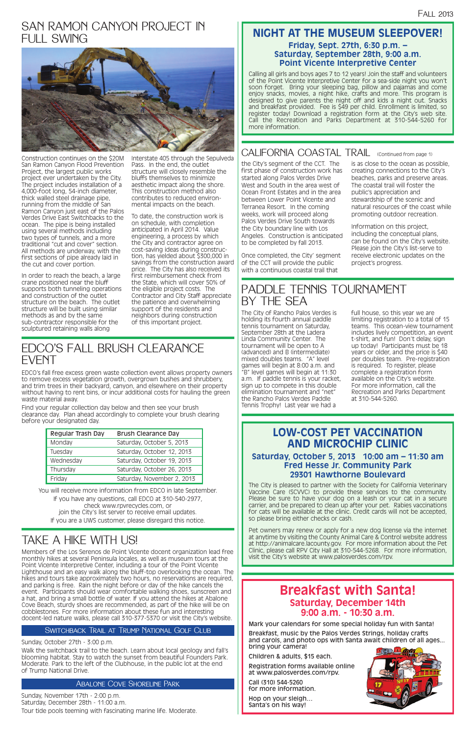### **Breakfast with Santa! Saturday, December 14th 9:00 a.m. - 10:30 a.m.**

Mark your calendars for some special holiday fun with Santa!

Breakfast, music by the Palos Verdes Strings, holiday crafts and carols, and photo ops with Santa await children of all ages... bring your camera!

Children & adults, \$15 each.

Registration forms available online at www.palosverdes.com/rpv.

Call (310) 544-5260 for more information.

Hop on your sleigh… Santa's on his way!



### SAN RAMON CANYON PROJECT IN FULL SWING



Construction continues on the \$20M San Ramon Canyon Flood Prevention Project, the largest public works project ever undertaken by the City. The project includes installation of a 4,000-foot long, 54-inch diameter, thick walled steel drainage pipe, running from the middle of San Ramon Canyon just east of the Palos Verdes Drive East Switchbacks to the ocean. The pipe is being installed using several methods including two types of tunnels, and a more traditional "cut and cover" section. All methods are underway, with the first sections of pipe already laid in the cut and cover portion.

In order to reach the beach, a large crane positioned near the bluff supports both tunneling operations and construction of the outlet structure on the beach. The outlet structure will be built using similar methods as and by the same sub-contractor responsible for the sculptured retaining walls along

Interstate 405 through the Sepulveda Pass. In the end, the outlet structure will closely resemble the bluffs themselves to minimize aesthetic impact along the shore. This construction method also contributes to reduced environmental impacts on the beach.

To date, the construction work is on schedule, with completion anticipated in April 2014. Value engineering, a process by which the City and contractor agree on cost-saving ideas during construction, has yielded about \$300,000 in savings from the construction award price. The City has also received its first reimbursement check from the State, which will cover 50% of the eligible project costs. The Contractor and City Staff appreciate the patience and overwhelming support of the residents and neighbors during construction of this important project.

### PADDLE TENNIS TOURNAMENT BY THE SEA

The City of Rancho Palos Verdes is holding its fourth annual paddle tennis tournament on Saturday, September 28th at the Ladera Linda Community Center. The tournament will be open to A (advanced) and B (intermediate) mixed doubles teams. "A" level games will begin at 8:00 a.m. and "B" level games will begin at 11:30 a.m. If paddle tennis is your racket, sign up to compete in this double elimination tournament and "net" the Rancho Palos Verdes Paddle Tennis Trophy! Last year we had a

full house, so this year we are limiting registration to a total of 15 teams. This ocean-view tournament includes lively competition, an event t-shirt, and fun! Don't delay, sign up today! Participants must be 18 years or older, and the price is \$40 per doubles team. Pre-registration is required. To register, please complete a registration form available on the City's website. For more information, call the Recreation and Parks Department at 310-544-5260.

### EDCO'S FALL BRUSH CLEARANCE EVENT

EDCO's fall free excess green waste collection event allows property owners to remove excess vegetation growth, overgrown bushes and shrubbery, and trim trees in their backyard, canyon, and elsewhere on their property without having to rent bins, or incur additional costs for hauling the green waste material away.

Find your regular collection day below and then see your brush clearance day. Plan ahead accordingly to complete your brush clearing before your designated day.

| Regular Trash Day | <b>Brush Clearance Day</b> |
|-------------------|----------------------------|
| Monday            | Saturday, October 5, 2013  |
| Tuesday           | Saturday, October 12, 2013 |
| Wednesday         | Saturday, October 19, 2013 |
| Thursday          | Saturday, October 26, 2013 |
| Friday            | Saturday, November 2, 2013 |

You will receive more information from EDCO in late September. If you have any questions, call EDCO at 310-540-2977, check www.rpvrecycles.com, or join the City's list server to receive email updates. If you are a UWS customer, please disregard this notice.

Members of the Los Serenos de Point Vicente docent organization lead free monthly hikes at several Peninsula locales, as well as museum tours at the Point Vicente Interpretive Center, including a tour of the Point Vicente Lighthouse and an easy walk along the bluff-top overlooking the ocean. The hikes and tours take approximately two hours, no reservations are required, and parking is free. Rain the night before or day of the hike cancels the event. Participants should wear comfortable walking shoes, sunscreen and a hat, and bring a small bottle of water. If you attend the hikes at Abalone Cove Beach, sturdy shoes are recommended, as part of the hike will be on cobblestones. For more information about these fun and interesting docent-led nature walks, please call 310-377-5370 or visit the City's website.

#### SWITCHBACK TRAIL AT TRUMP NATIONAL GOLF CLUB

#### Sunday, October 27th - 3:00 p.m.

Walk the switchback trail to the beach. Learn about local geology and fall's blooming habitat. Stay to watch the sunset from beautiful Founders Park. Moderate. Park to the left of the Clubhouse, in the public lot at the end of Trump National Drive.

Sunday, November 17th - 2:00 p.m. Saturday, December 28th - 11:00 a.m. Tour tide pools teeming with fascinating marine life. Moderate.

### TAKE A HIKE WITH US!

#### Abalone Cove Shoreline Park

#### **NIGHT AT THE MUSEUM SLEEPOVER! Friday, Sept. 27th, 6:30 p.m. – Saturday, September 28th, 9:00 a.m. Point Vicente Interpretive Center**

the City's segment of the CCT. The first phase of construction work has started along Palos Verdes Drive West and South in the area west of Ocean Front Estates and in the area between Lower Point Vicente and Terranea Resort. In the coming weeks, work will proceed along Palos Verdes Drive South towards the City boundary line with Los Angeles. Construction is anticipated to be completed by fall 2013.

Once completed, the City' segment of the CCT will provide the public with a continuous coastal trail that

is as close to the ocean as possible, creating connections to the City's beaches, parks and preserve areas.

The coastal trail will foster the public's appreciation and stewardship of the scenic and natural resources of the coast while promoting outdoor recreation.

Information on this project, including the conceptual plans, can be found on the City's website. Please join the City's list-serve to receive electronic updates on the project's progress.

Calling all girls and boys ages 7 to 12 years! Join the staff and volunteers of the Point Vicente Interpretive Center for a sea-side night you won't soon forget. Bring your sleeping bag, pillow and pajamas and come enjoy snacks, movies, a night hike, crafts and more. This program is designed to give parents the night off and kids a night out. Snacks and breakfast provided. Fee is \$49 per child. Enrollment is limited, so register today! Download a registration form at the City's web site. Call the Recreation and Parks Department at 310-544-5260 for more information.

### CALIFORNIA COASTAL TRAIL (Continued from page 1)

### **LOW-COST PET VACCINATION AND MICROCHIP CLINIC**

#### **Saturday, October 5, 2013 10:00 am – 11:30 am Fred Hesse Jr. Community Park 29301 Hawthorne Boulevard**

The City is pleased to partner with the Society for California Veterinary Vaccine Care (SCVVC) to provide these services to the community. Please be sure to have your dog on a leash or your cat in a secure carrier, and be prepared to clean up after your pet. Rabies vaccinations for cats will be available at the clinic. Credit cards will not be accepted, so please bring either checks or cash.

Pet owners may renew or apply for a new dog license via the internet at anytime by visiting the County Animal Care & Control website address at http://animalcare.lacounty.gov. For more information about the Pet Clinic, please call RPV City Hall at 310-544-5268. For more information, visit the City's website at www.palosverdes.com/rpv.